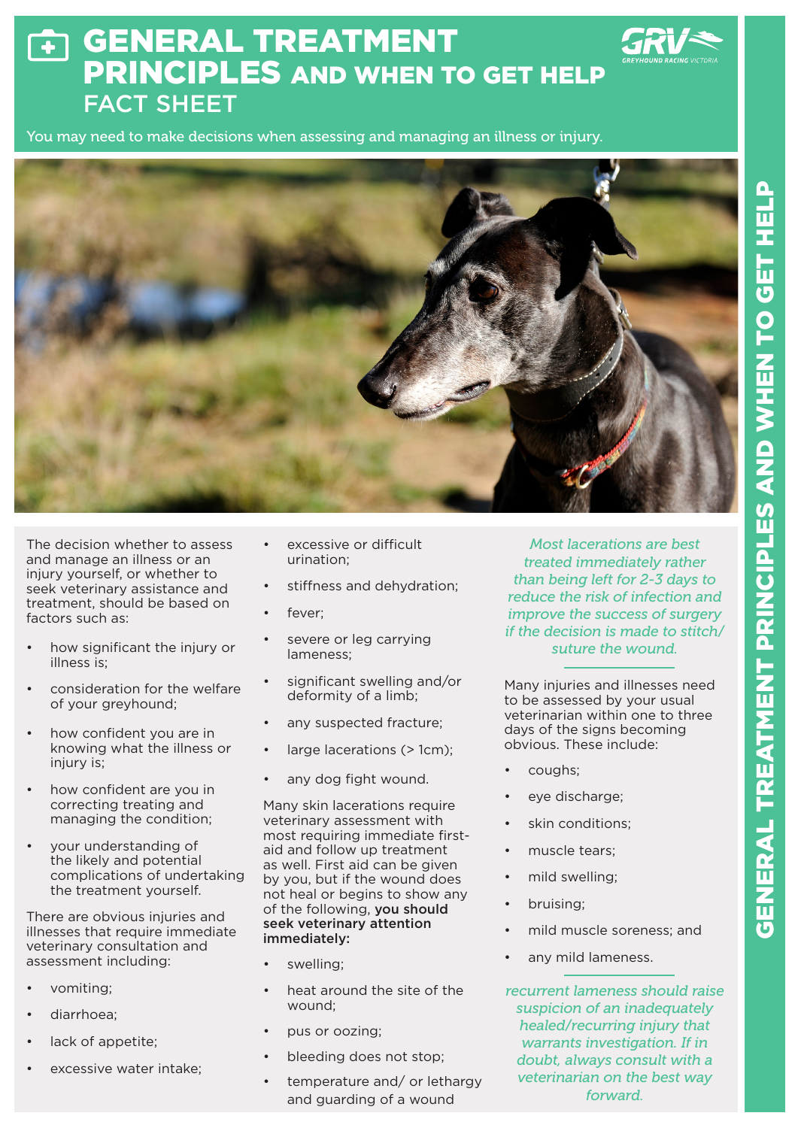## GENERAL TREATMENT  $\overline{\bullet}$ PRINCIPLES AND WHEN TO GET HELP FACT SHEET

You may need to make decisions when assessing and managing an illness or injury.



The decision whether to assess and manage an illness or an injury yourself, or whether to seek veterinary assistance and treatment, should be based on factors such as:

- how significant the injury or illness is;
- consideration for the welfare of your greyhound;
- how confident you are in knowing what the illness or injury is:
- how confident are you in correcting treating and managing the condition;
- your understanding of the likely and potential complications of undertaking the treatment yourself.

There are obvious injuries and illnesses that require immediate veterinary consultation and assessment including:

- vomiting;
- diarrhoea;
- lack of appetite;
- excessive water intake:
- excessive or difficult urination;
- stiffness and dehydration;
- fever:
- severe or leg carrying lameness;
- significant swelling and/or deformity of a limb;
- any suspected fracture;
- large lacerations (> 1cm);
- any dog fight wound.

Many skin lacerations require veterinary assessment with most requiring immediate firstaid and follow up treatment as well. First aid can be given by you, but if the wound does not heal or begins to show any of the following, you should seek veterinary attention immediately:

- swelling:
- heat around the site of the wound;
- pus or oozing;
- bleeding does not stop;
- temperature and/ or lethargy and guarding of a wound

*Most lacerations are best treated immediately rather than being left for 2-3 days to reduce the risk of infection and improve the success of surgery if the decision is made to stitch/ suture the wound.*

Many injuries and illnesses need to be assessed by your usual veterinarian within one to three days of the signs becoming obvious. These include:

- coughs;
- eye discharge;
- skin conditions:
- muscle tears:
- mild swelling;
- bruising;
- mild muscle soreness; and
- any mild lameness.

*recurrent lameness should raise suspicion of an inadequately healed/recurring injury that warrants investigation. If in doubt, always consult with a veterinarian on the best way forward.*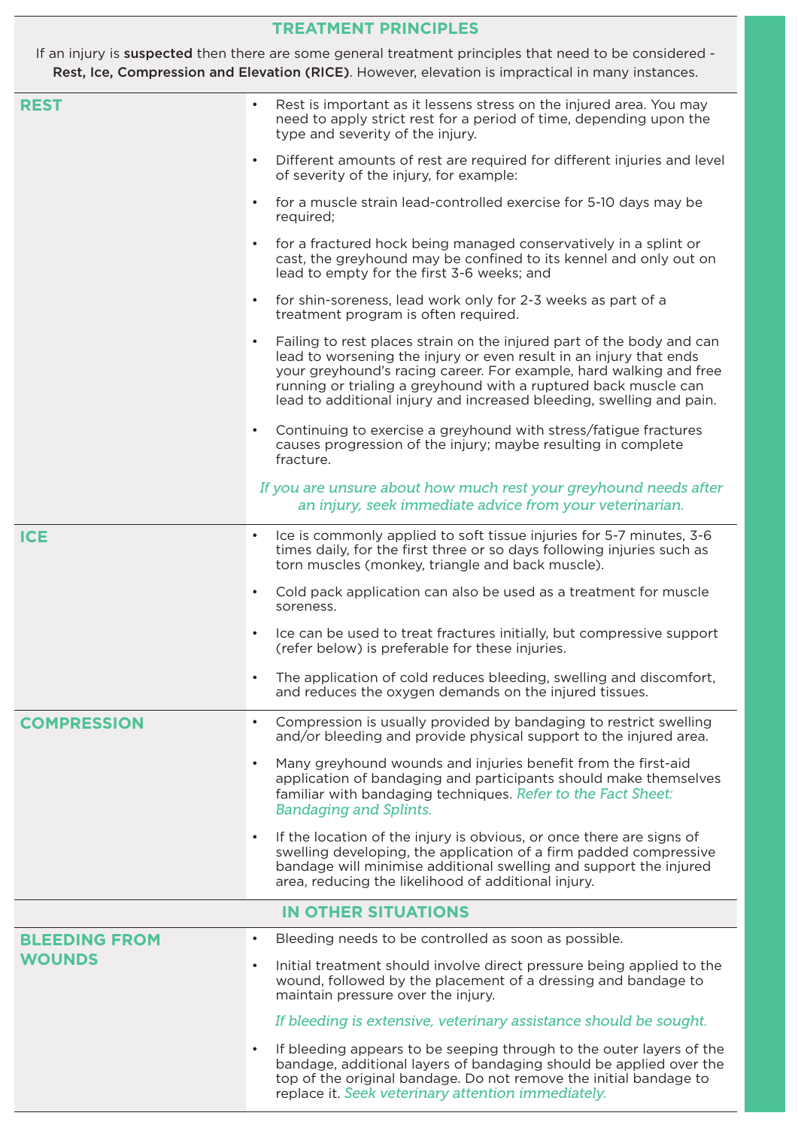## **TREATMENT PRINCIPLES**

If an injury is suspected then there are some general treatment principles that need to be considered -Rest, Ice, Compression and Elevation (RICE). However, elevation is impractical in many instances.

| <b>REST</b>          | Rest is important as it lessens stress on the injured area. You may<br>need to apply strict rest for a period of time, depending upon the<br>type and severity of the injury.                                                                                                                                                                                             |
|----------------------|---------------------------------------------------------------------------------------------------------------------------------------------------------------------------------------------------------------------------------------------------------------------------------------------------------------------------------------------------------------------------|
|                      | Different amounts of rest are required for different injuries and level<br>of severity of the injury, for example:                                                                                                                                                                                                                                                        |
|                      | for a muscle strain lead-controlled exercise for 5-10 days may be<br>required;                                                                                                                                                                                                                                                                                            |
|                      | for a fractured hock being managed conservatively in a splint or<br>$\bullet$<br>cast, the greyhound may be confined to its kennel and only out on<br>lead to empty for the first 3-6 weeks; and                                                                                                                                                                          |
|                      | for shin-soreness, lead work only for 2-3 weeks as part of a<br>$\bullet$<br>treatment program is often required.                                                                                                                                                                                                                                                         |
|                      | Failing to rest places strain on the injured part of the body and can<br>$\bullet$<br>lead to worsening the injury or even result in an injury that ends<br>your greyhound's racing career. For example, hard walking and free<br>running or trialing a greyhound with a ruptured back muscle can<br>lead to additional injury and increased bleeding, swelling and pain. |
|                      | Continuing to exercise a greyhound with stress/fatigue fractures<br>causes progression of the injury; maybe resulting in complete<br>fracture.                                                                                                                                                                                                                            |
|                      | If you are unsure about how much rest your greyhound needs after                                                                                                                                                                                                                                                                                                          |
|                      | an injury, seek immediate advice from your veterinarian.                                                                                                                                                                                                                                                                                                                  |
| <b>ICE</b>           | Ice is commonly applied to soft tissue injuries for 5-7 minutes, 3-6<br>$\bullet$<br>times daily, for the first three or so days following injuries such as<br>torn muscles (monkey, triangle and back muscle).                                                                                                                                                           |
|                      | Cold pack application can also be used as a treatment for muscle<br>$\bullet$<br>soreness.                                                                                                                                                                                                                                                                                |
|                      | Ice can be used to treat fractures initially, but compressive support<br>$\bullet$<br>(refer below) is preferable for these injuries.                                                                                                                                                                                                                                     |
|                      | The application of cold reduces bleeding, swelling and discomfort,<br>and reduces the oxygen demands on the injured tissues.                                                                                                                                                                                                                                              |
| <b>COMPRESSION</b>   | Compression is usually provided by bandaging to restrict swelling<br>$\bullet$<br>and/or bleeding and provide physical support to the injured area.                                                                                                                                                                                                                       |
|                      | Many greyhound wounds and injuries benefit from the first-aid<br>$\bullet$<br>application of bandaging and participants should make themselves<br>familiar with bandaging techniques. Refer to the Fact Sheet:<br><b>Bandaging and Splints.</b>                                                                                                                           |
|                      | If the location of the injury is obvious, or once there are signs of<br>swelling developing, the application of a firm padded compressive<br>bandage will minimise additional swelling and support the injured<br>area, reducing the likelihood of additional injury.                                                                                                     |
|                      | <b>IN OTHER SITUATIONS</b>                                                                                                                                                                                                                                                                                                                                                |
| <b>BLEEDING FROM</b> | Bleeding needs to be controlled as soon as possible.<br>$\bullet$                                                                                                                                                                                                                                                                                                         |
| <b>WOUNDS</b>        | Initial treatment should involve direct pressure being applied to the<br>$\bullet$<br>wound, followed by the placement of a dressing and bandage to<br>maintain pressure over the injury.                                                                                                                                                                                 |
|                      | If bleeding is extensive, veterinary assistance should be sought.                                                                                                                                                                                                                                                                                                         |
|                      | If bleeding appears to be seeping through to the outer layers of the<br>$\bullet$<br>bandage, additional layers of bandaging should be applied over the<br>top of the original bandage. Do not remove the initial bandage to<br>replace it. Seek veterinary attention immediately.                                                                                        |